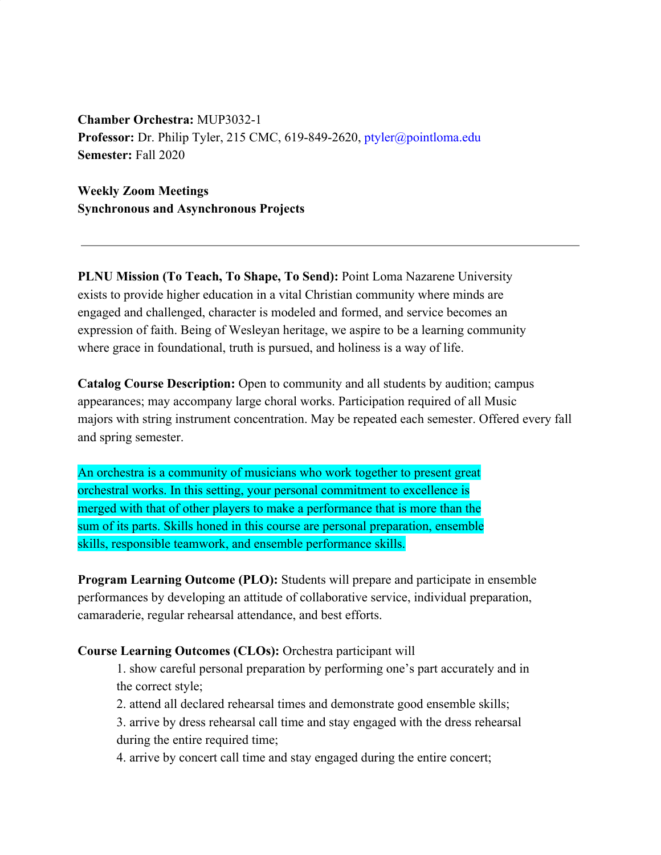**Chamber Orchestra:** MUP3032-1 **Professor:** Dr. Philip Tyler, 215 CMC, 619-849-2620, ptyler@pointloma.edu **Semester:** Fall 2020

**Weekly Zoom Meetings Synchronous and Asynchronous Projects**

**PLNU Mission (To Teach, To Shape, To Send):** Point Loma Nazarene University exists to provide higher education in a vital Christian community where minds are engaged and challenged, character is modeled and formed, and service becomes an expression of faith. Being of Wesleyan heritage, we aspire to be a learning community where grace in foundational, truth is pursued, and holiness is a way of life.

**Catalog Course Description:** Open to community and all students by audition; campus appearances; may accompany large choral works. Participation required of all Music majors with string instrument concentration. May be repeated each semester. Offered every fall and spring semester.

An orchestra is a community of musicians who work together to present great orchestral works. In this setting, your personal commitment to excellence is merged with that of other players to make a performance that is more than the sum of its parts. Skills honed in this course are personal preparation, ensemble skills, responsible teamwork, and ensemble performance skills.

**Program Learning Outcome (PLO):** Students will prepare and participate in ensemble performances by developing an attitude of collaborative service, individual preparation, camaraderie, regular rehearsal attendance, and best efforts.

# **Course Learning Outcomes (CLOs):** Orchestra participant will

1. show careful personal preparation by performing one's part accurately and in the correct style;

2. attend all declared rehearsal times and demonstrate good ensemble skills;

3. arrive by dress rehearsal call time and stay engaged with the dress rehearsal during the entire required time;

4. arrive by concert call time and stay engaged during the entire concert;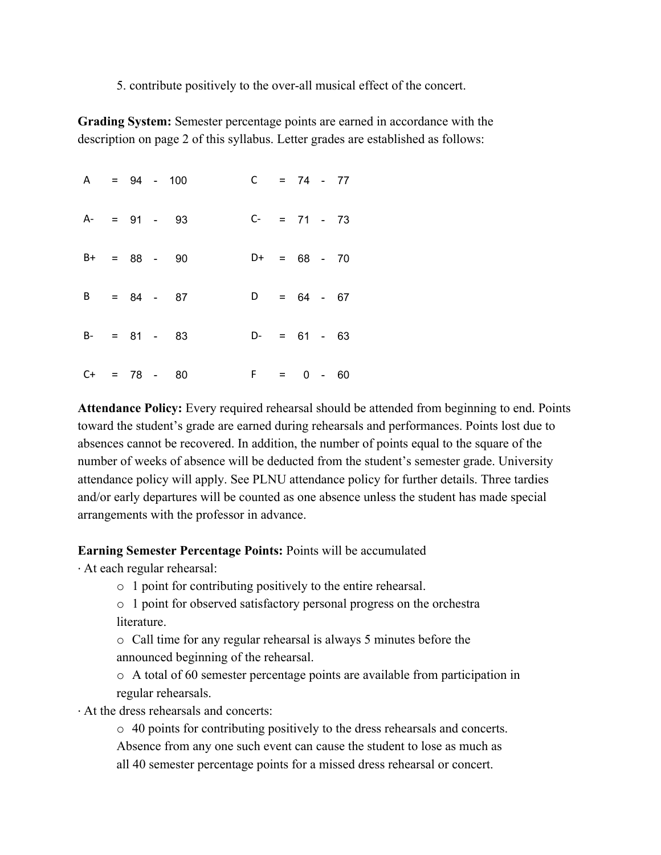5. contribute positively to the over-all musical effect of the concert.

**Grading System:** Semester percentage points are earned in accordance with the description on page 2 of this syllabus. Letter grades are established as follows:

 $A = 94 - 100$  C = 74 - 77 A- = 91 - 93 C- = 71 - 73  $B+ = 88 - 90$   $D+ = 68 - 70$  $B = 84 - 87$   $D = 64 - 67$  $B - = 81 - 83$   $D - = 61 - 63$  $C+ = 78 - 80$  F = 0 - 60

**Attendance Policy:** Every required rehearsal should be attended from beginning to end. Points toward the student's grade are earned during rehearsals and performances. Points lost due to absences cannot be recovered. In addition, the number of points equal to the square of the number of weeks of absence will be deducted from the student's semester grade. University attendance policy will apply. See PLNU attendance policy for further details. Three tardies and/or early departures will be counted as one absence unless the student has made special arrangements with the professor in advance.

# **Earning Semester Percentage Points:** Points will be accumulated

· At each regular rehearsal:

o 1 point for contributing positively to the entire rehearsal.

o 1 point for observed satisfactory personal progress on the orchestra **literature** 

o Call time for any regular rehearsal is always 5 minutes before the announced beginning of the rehearsal.

o A total of 60 semester percentage points are available from participation in regular rehearsals.

· At the dress rehearsals and concerts:

o 40 points for contributing positively to the dress rehearsals and concerts.

Absence from any one such event can cause the student to lose as much as all 40 semester percentage points for a missed dress rehearsal or concert.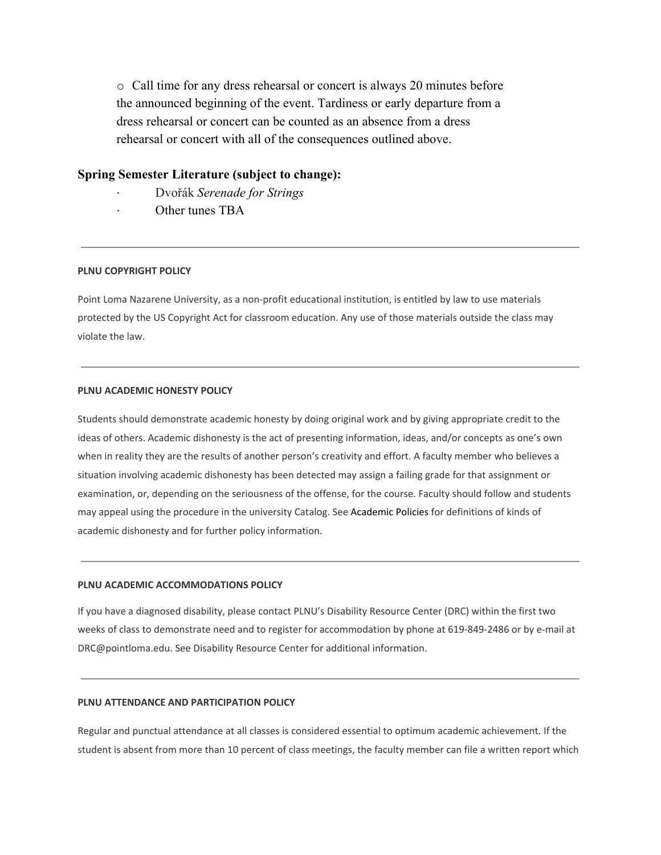o Call time for any dress rehearsal or concert is always 20 minutes before the announced beginning of the event. Tardiness or early departure from a dress rehearsal or concert can be counted as an absence from a dress rehearsal or concert with all of the consequences outlined above.

# **Spring Semester Literature (subject to change):**

- · Dvořák *Serenade for Strings*
- Other tunes TBA

#### **PLNU COPYRIGHT POLICY**

Point Loma Nazarene University, as a non-profit educational institution, is entitled by law to use materials protected by the US Copyright Act for classroom education. Any use of those materials outside the class may violate the law.

## **PLNU ACADEMIC HONESTY POLICY**

Students should demonstrate academic honesty by doing original work and by giving appropriate credit to the ideas of others. Academic dishonesty is the act of presenting information, ideas, and/or concepts as one's own when in reality they are the results of another person's creativity and effort. A faculty member who believes a situation involving academic dishonesty has been detected may assign a failing grade for that assignment or examination, or, depending on the seriousness of the offense, for the course. Faculty should follow and students may appeal using the procedure in the university Catalog. See Academic Policies for definitions of kinds of academic dishonesty and for further policy information.

#### **PLNU ACADEMIC ACCOMMODATIONS POLICY**

If you have a diagnosed disability, please contact PLNU's Disability Resource Center (DRC) within the first two weeks of class to demonstrate need and to register for accommodation by phone at 619-849-2486 or by e-mail at DRC@pointloma.edu. See Disability Resource Center for additional information.

## **PLNU ATTENDANCE AND PARTICIPATION POLICY**

Regular and punctual attendance at all classes is considered essential to optimum academic achievement. If the student is absent from more than 10 percent of class meetings, the faculty member can file a written report which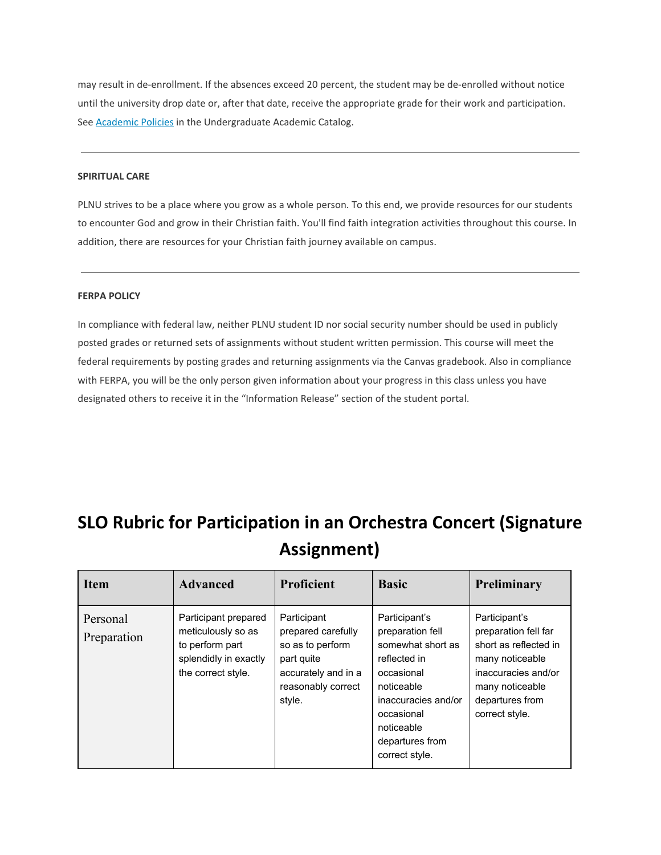may result in de-enrollment. If the absences exceed 20 percent, the student may be de-enrolled without notice until the university drop date or, after that date, receive the appropriate grade for their work and participation. Se[e](http://catalog.pointloma.edu/content.php?catoid=18&navoid=1278) [Academic](http://catalog.pointloma.edu/content.php?catoid=18&navoid=1278) Policies in the Undergraduate Academic Catalog.

### **SPIRITUAL CARE**

PLNU strives to be a place where you grow as a whole person. To this end, we provide resources for our students to encounter God and grow in their Christian faith. You'll find faith integration activities throughout this course. In addition, there are resources for your Christian faith journey available on campus.

#### **FERPA POLICY**

In compliance with federal law, neither PLNU student ID nor social security number should be used in publicly posted grades or returned sets of assignments without student written permission. This course will meet the federal requirements by posting grades and returning assignments via the Canvas gradebook. Also in compliance with FERPA, you will be the only person given information about your progress in this class unless you have designated others to receive it in the "Information Release" section of the student portal.

# **SLO Rubric for Participation in an Orchestra Concert (Signature Assignment)**

| <b>Item</b>             | <b>Advanced</b>                                                                                              | <b>Proficient</b>                                                                                                          | <b>Basic</b>                                                                                                                                                                               | Preliminary                                                                                                                                                      |
|-------------------------|--------------------------------------------------------------------------------------------------------------|----------------------------------------------------------------------------------------------------------------------------|--------------------------------------------------------------------------------------------------------------------------------------------------------------------------------------------|------------------------------------------------------------------------------------------------------------------------------------------------------------------|
| Personal<br>Preparation | Participant prepared<br>meticulously so as<br>to perform part<br>splendidly in exactly<br>the correct style. | Participant<br>prepared carefully<br>so as to perform<br>part quite<br>accurately and in a<br>reasonably correct<br>style. | Participant's<br>preparation fell<br>somewhat short as<br>reflected in<br>occasional<br>noticeable<br>inaccuracies and/or<br>occasional<br>noticeable<br>departures from<br>correct style. | Participant's<br>preparation fell far<br>short as reflected in<br>many noticeable<br>inaccuracies and/or<br>many noticeable<br>departures from<br>correct style. |